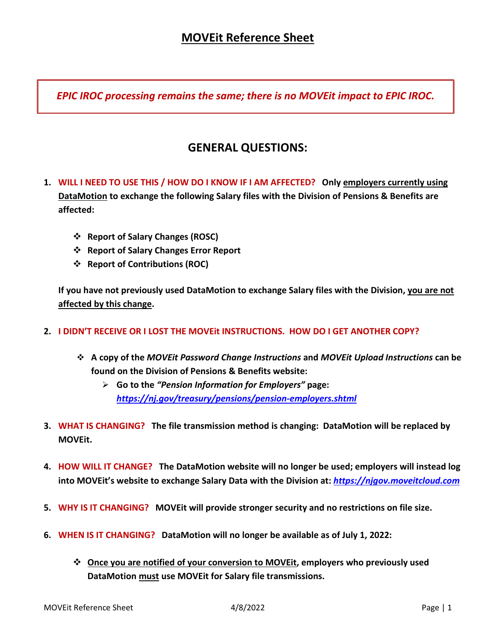*EPIC IROC processing remains the same; there is no MOVEit impact to EPIC IROC.*

# **GENERAL QUESTIONS:**

- **1. WILL I NEED TO USE THIS / HOW DO I KNOW IF I AM AFFECTED? Only employers currently using DataMotion to exchange the following Salary files with the Division of Pensions & Benefits are affected:**
	- **Report of Salary Changes (ROSC)**
	- **Report of Salary Changes Error Report**
	- **Report of Contributions (ROC)**

**If you have not previously used DataMotion to exchange Salary files with the Division, you are not affected by this change.**

- **2. I DIDN'T RECEIVE OR I LOST THE MOVEit INSTRUCTIONS. HOW DO I GET ANOTHER COPY?**
	- **A copy of the** *MOVEit Password Change Instructions* **and** *MOVEit Upload Instructions* **can be found on the Division of Pensions & Benefits website:**
		- **Go to the** *"Pension Information for Employers"* **page:** *<https://nj.gov/treasury/pensions/pension-employers.shtml>*
- **3. WHAT IS CHANGING? The file transmission method is changing: DataMotion will be replaced by MOVEit.**
- **4. HOW WILL IT CHANGE? The DataMotion website will no longer be used; employers will instead log into MOVEit's website to exchange Salary Data with the Division at:** *[https://njgov.moveitcloud.com](https://njgov.moveitcloud.com/)*
- **5. WHY IS IT CHANGING? MOVEit will provide stronger security and no restrictions on file size.**
- **6. WHEN IS IT CHANGING? DataMotion will no longer be available as of July 1, 2022:**
	- **Once you are notified of your conversion to MOVEit, employers who previously used DataMotion must use MOVEit for Salary file transmissions.**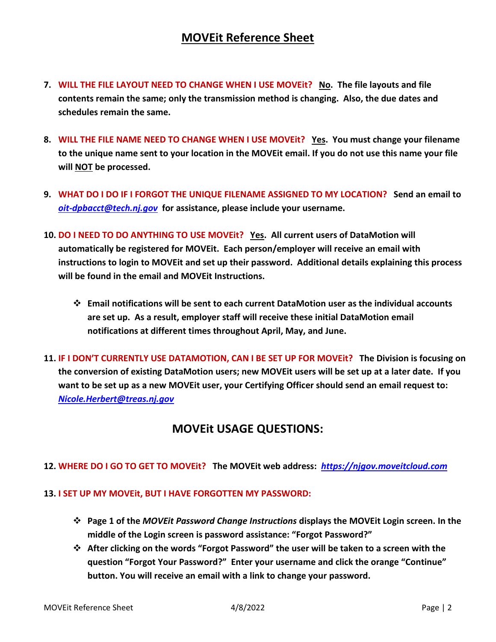## **MOVEit Reference Sheet**

- **7. WILL THE FILE LAYOUT NEED TO CHANGE WHEN I USE MOVEit? No. The file layouts and file contents remain the same; only the transmission method is changing. Also, the due dates and schedules remain the same.**
- **8. WILL THE FILE NAME NEED TO CHANGE WHEN I USE MOVEit? Yes. You must change your filename to the unique name sent to your location in the MOVEit email. If you do not use this name your file will NOT be processed.**
- **9. WHAT DO I DO IF I FORGOT THE UNIQUE FILENAME ASSIGNED TO MY LOCATION? Send an email to** *[oit-dpbacct@tech.nj.gov](mailto:oit-dpbacct@tech.nj.gov)* **for assistance, please include your username.**
- **10. DO I NEED TO DO ANYTHING TO USE MOVEit? Yes. All current users of DataMotion will automatically be registered for MOVEit. Each person/employer will receive an email with instructions to login to MOVEit and set up their password. Additional details explaining this process will be found in the email and MOVEit Instructions.**
	- **Email notifications will be sent to each current DataMotion user as the individual accounts are set up. As a result, employer staff will receive these initial DataMotion email notifications at different times throughout April, May, and June.**
- **11. IF I DON'T CURRENTLY USE DATAMOTION, CAN I BE SET UP FOR MOVEit? The Division is focusing on the conversion of existing DataMotion users; new MOVEit users will be set up at a later date. If you want to be set up as a new MOVEit user, your Certifying Officer should send an email request to:** *[Nicole.Herbert@treas.nj.gov](mailto:Nicole.Herbert@treas.nj.gov)*

### **MOVEit USAGE QUESTIONS:**

### **12. WHERE DO I GO TO GET TO MOVEit? The MOVEit web address:** *[https://njgov.moveitcloud.com](https://njgov.moveitcloud.com/)*

#### **13. I SET UP MY MOVEit, BUT I HAVE FORGOTTEN MY PASSWORD:**

- **Page 1 of the** *MOVEit Password Change Instructions* **displays the MOVEit Login screen. In the middle of the Login screen is password assistance: "Forgot Password?"**
- **After clicking on the words "Forgot Password" the user will be taken to a screen with the question "Forgot Your Password?" Enter your username and click the orange "Continue" button. You will receive an email with a link to change your password.**